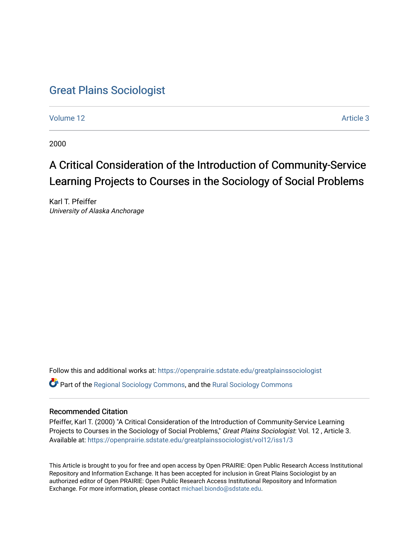# [Great Plains Sociologist](https://openprairie.sdstate.edu/greatplainssociologist)

[Volume 12](https://openprairie.sdstate.edu/greatplainssociologist/vol12) Article 3

2000

# A Critical Consideration of the Introduction of Community-Service Learning Projects to Courses in the Sociology of Social Problems

Karl T. Pfeiffer University of Alaska Anchorage

Follow this and additional works at: [https://openprairie.sdstate.edu/greatplainssociologist](https://openprairie.sdstate.edu/greatplainssociologist?utm_source=openprairie.sdstate.edu%2Fgreatplainssociologist%2Fvol12%2Fiss1%2F3&utm_medium=PDF&utm_campaign=PDFCoverPages)  Part of the [Regional Sociology Commons](http://network.bepress.com/hgg/discipline/427?utm_source=openprairie.sdstate.edu%2Fgreatplainssociologist%2Fvol12%2Fiss1%2F3&utm_medium=PDF&utm_campaign=PDFCoverPages), and the [Rural Sociology Commons](http://network.bepress.com/hgg/discipline/428?utm_source=openprairie.sdstate.edu%2Fgreatplainssociologist%2Fvol12%2Fiss1%2F3&utm_medium=PDF&utm_campaign=PDFCoverPages) 

### Recommended Citation

Pfeiffer, Karl T. (2000) "A Critical Consideration of the Introduction of Community-Service Learning Projects to Courses in the Sociology of Social Problems," Great Plains Sociologist: Vol. 12 , Article 3. Available at: [https://openprairie.sdstate.edu/greatplainssociologist/vol12/iss1/3](https://openprairie.sdstate.edu/greatplainssociologist/vol12/iss1/3?utm_source=openprairie.sdstate.edu%2Fgreatplainssociologist%2Fvol12%2Fiss1%2F3&utm_medium=PDF&utm_campaign=PDFCoverPages)

This Article is brought to you for free and open access by Open PRAIRIE: Open Public Research Access Institutional Repository and Information Exchange. It has been accepted for inclusion in Great Plains Sociologist by an authorized editor of Open PRAIRIE: Open Public Research Access Institutional Repository and Information Exchange. For more information, please contact [michael.biondo@sdstate.edu.](mailto:michael.biondo@sdstate.edu)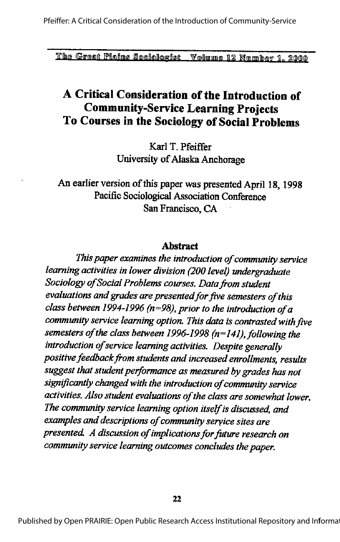# A Critical Consideration of the Introduction of **Community-Service Learning Projects** To Courses in the Sociology of Social Problems

Karl T. Pfeiffer University of Alaska Anchorage

An earlier version of this paper was presented April 18, 1998 Pacific Sociological Association Conference San Francisco, CA

### **Abstract**

This paper examines the introduction of community service learning activities in lower division (200 level) undergraduate Sociology of Social Problems courses. Data from student evaluations and grades are presented for five semesters of this class between 1994-1996 ( $n=98$ ), prior to the introduction of a community service learning option. This data is contrasted with five semesters of the class between 1996-1998 ( $n=141$ ), following the introduction of service learning activities. Despite generally positive feedback from students and increased enrollments, results suggest that student performance as measured by grades has not significantly changed with the introduction of community service activities. Also student evaluations of the class are somewhat lower. The community service learning option itself is discussed, and examples and descriptions of community service sites are presented. A discussion of implications for future research on community service learning outcomes concludes the paper.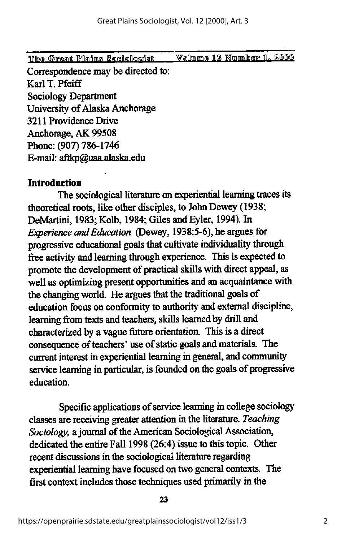Correspondence may be directed to: Karl T. Pfeiff Sociology Department University of Alaska Anchorage 3211 Providence Drive Anchorage, AK 99508 Phone; (907) 786-1746 E-mail: aflkp@uaa.alaska.edu

## Introduction

The sociological literature on experiential learning traces its theoretical roots, like other disciples, to John Dewey (1938; DeMartini, 1983; Kolb, 1984; Giles and Eyler, 1994). In Experience and Education (Dewey, 1938:5-6), he argues for progressive educational goals that cultivate individuality through free activity and learning through experience. This is expected to promote the development of practical skills with direct appeal, as well as optimizing present opportunities and an acquaintance with the changing world. He argues that the traditional goals of education focus on conformity to authority andexternal discipline, learning from texts and teachers, skills learned by drill and characterized by a vague future orientation. This is a direct consequence of teachers' use of static goals and materials. The current interest in experiential learning in general, and community service learning in particular, is founded on the goals of progressive education.

Specific applications of service learning in college sociology classes are receiving greater attention in the literature. Teaching Sociology, a journal of the American Sociological Association, dedicated the entire Fall 1998 (26:4) issue to this topic. Other recent discussions in the sociological literature regarding experiential learning have focused on two general contexts. The first context includes those techniques used primarily in the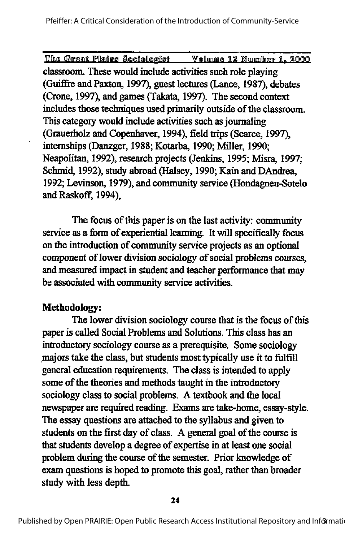classroom. These would include activities such role playing (Guiffre and Paxton, 1997), guest lectures (Lance, 1987), debates (Crone, 1997), and games (Takata, 1997). The second context includes those techniques used primarily outside of the classroom. This category would include activities such as journaling (Grauerholz and Copenhaver, 1994), field trips (Scarce, 1997), internships (Danzger, 1988; Kotarba, 1990; Miller, 1990; Neapolitan, 1992), research projects (Jenkins, 1995; Misra, 1997; Schmid, 1992), study abroad (Halsey, 1990; Kain and DAndrea, 1992; Levinson, 1979), and community service (Hondagneu-Sotelo and Raskoff, 1994).

The focus of this paper is on the last activity: community service as a form of experiential learning. It will specifically focus on the introduction of community service projects as an optional component of lower division sociology of social problems courses, and measured impact in student and teacher performance that may be associated with community service activities.

# Methodology:

÷

The lower division sociology course that is the focus of this paper is called Social Problems and Solutions. This class has an introductory sociology course as a prerequisite. Some sociology majors take the class, but students most typically use it to fulfill general education requirements. The class is intended to apply some of the theories and methods taught in the introductory sociology class to social problems. A textbook and the local newspaper are required reading. Exams are take-home, essay-style. The essay questions are attached to the syllabus and given to students on the first day of class. A general goal of the course is that students develop a degree of expertise in at least one social problem during the course of the semester. Prior knowledge of exam questions is hoped to promote this goal, rather than broader study with less depth.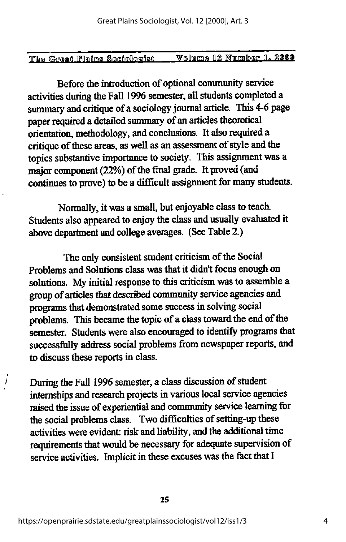| The Great Plains Sociologist |  | Volume 12 Number 1. 2000 |  |
|------------------------------|--|--------------------------|--|

Before the introduction of optional community service activities during the Fall 1996 semester, all students completed a summary and critique of a sociology journal article. This 4-6 page paper required a detailed summary of an articles theoretical orientation, methodology, and conclusions. It also required a critique of these areas, as well as an assessment of style and the topics substantive importance to society. This assignment was a major component (22%) of the final grade. It proved (and continues to prove) to be a difficult assignment for many students.

Normally, it was a small, but enjoyable class to teach. Students also appeared to enjoy the class and usually evaluated it above department and college averages. (See Table 2.)

The only consistent student criticism of the Social Problems and Solutions class was that it didn't focus enough on solutions. My initial response to this criticism was to assemble a group of articles that described community service agencies and programs that demonstrated some success in solving social problems. This became the topic of a class toward the end of the semester. Students were also encouraged to identify programs that successfully address social problems from newspaper reports, and to discuss these reports in class.

During the Fall 1996 semester, a class discussion of student internships and research projects in various local service agencies raised the issue of experiential and community service learning for the social problems class. Two difficulties of setting-up these activities were evident: risk and liability, and the additional time requirements that would be necessary for adequate supervision of service activities. Implicit in these excuses was the fact that I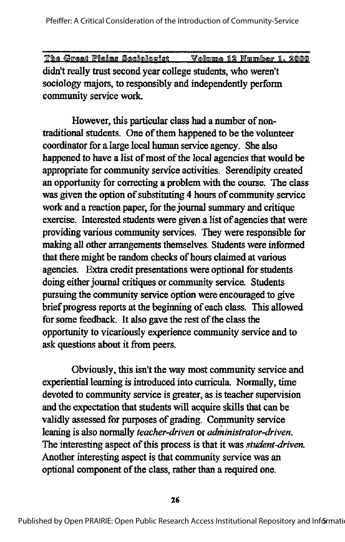The Great Plains Sociologist Volume 12 Number 1. 2000 didn't really trust second year college students, who weren't sociology majors, to responsibly and independently perform community service work.

However, this particular class had a number of nontraditional students. One of them happened to be the volunteer coordinator for a large local human service agency. She also happened to have a list of most of the local agencies that would be appropriate for community service activities. Serendipity created an opportunity for correcting a problem with the course. The class was given the option of substituting 4 hours of community service work and a reaction paper, for the journal summary and critique exercise. Interested students were given a list of agencies that were providing various community services. They were responsible for making all other arrangements themselves. Students were informed that there might be random checks of hours claimed at various agencies. Extra credit presentations were optional for students doing either journal critiques or community service. Students pursuing the community service option were encouraged to give brief progress reports at the beginning of each class. This allowed for some feedback. It also gave the rest of the class the opportunity to vicariously experience community service and to ask questions about it from peers.

Obviously, this isn't the way most community service and experiential learning is introduced into curricula. Normally, time devoted to community service is greater, as is teacher supervision and the expectation that students will acquire skills that can be validly assessed for purposes of grading. Community service leaning is also normally teacher-driven or administrator-driven. The interesting aspect of this process is that it was *student-driven*. Another interesting aspect is that community service was an optional component of the class, rather than a required one.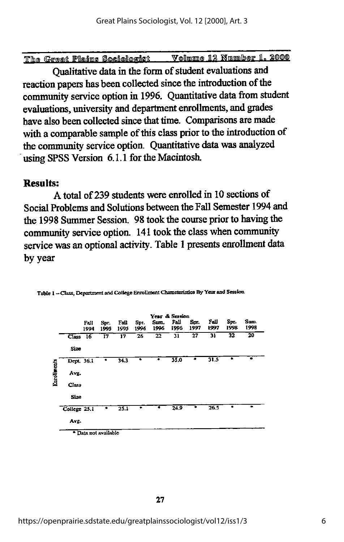•fribfB TPnaiiimg gimAllfingflgft VtmllTinTimre Tl% Hmmnlhisip H. £@011)

Qualitative data in the form of student evaluations and reaction papers has been collected since the introduction of the community service option in 1996. Quantitative data from student evaluations, university and department enrollments, and grades have also been collected since that time. Comparisons are made with a comparable sample of this class prior to the introduction of the community service option. Quantitative datawas analyzed using SPSS Version 6.1.1 for the Macintosh,

### Results:

A total of239 students were enrolled in 10 sections of Social Problems and Solutions between the Fall Semester 1994 and the 1998 Summer Session. 98 took the course prior to having the community service option. 141 took the class when community service was an optional activity. Table 1 presents enrollment data by year



Table 1-Class, Department and College Enrollment Characteristics By Year and Session

' Data not available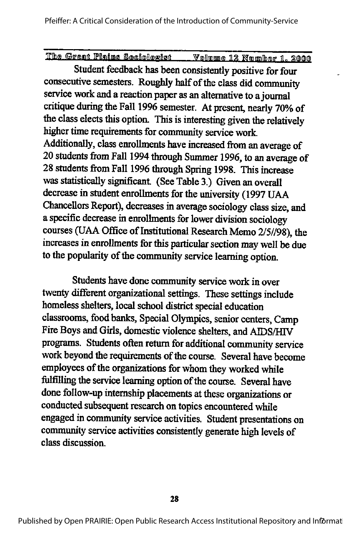Student feedback has been consistently positive for four consecutive semesters. Roughly half of the class did community service work and a reaction paper as an alternative to a journal critique during the Fall 1996 semester. At present, nearly 70% of the class elects this option. This is interesting given the relatively higher time requirements for community service work. Additionally, class enrollments have increased from an average of 20 students from Fall 1994 through Summer 1996, to an average of 28 students from Fall 1996 through Spring 1998. This increase was statistically significant. (See Table 3.) Given an overall decrease in student enrollments for the university (1997 UAA Chancellors Report), decreases in average sociology class size, and a specific decrease in enrollments for lower division sociology courses (UAA Office of Institutional Research Memo 2/5//98), the increases in enrollments for this particular section may well be due to the popularity of the community service learning option.

Students have done community service work in over twenty different organizational settings. These settings include homeless shelters, local school district special education classrooms, food banks. Special Olympics, senior centers. Camp Fire Boys and Girls, domestic violence shelters, and AIDS/HIV programs. Students often return for additional community service work beyond the requirements of the course. Several have become employees of the organizations for whom they worked while fulfilling the service learning option of the course. Several have done follow-up internship placements at these organizations or conducted subsequent research on topics encountered while engaged in community service activities. Student presentations on community service activities consistently generate high levels of class discussion.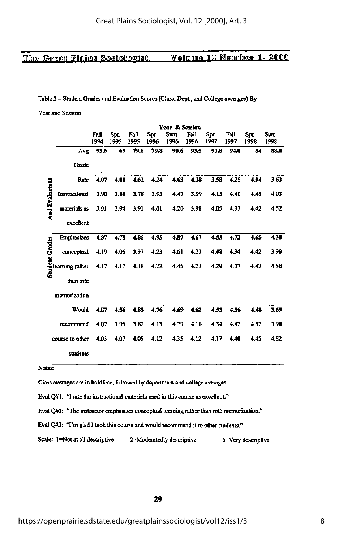#### The Great Plains Sociologist

### Volume 12 Number 1, 2000

#### Table 2 - Student Grades and Evaluation Scores (Class, Dept., and College averages) By

Year and Session

|                       |                   | Year & Session |              |              |              |              |              |              |              |              |              |
|-----------------------|-------------------|----------------|--------------|--------------|--------------|--------------|--------------|--------------|--------------|--------------|--------------|
|                       |                   | Fall<br>1994   | Spr.<br>1995 | Fall<br>1995 | Spt.<br>1996 | Sun.<br>1996 | Fall<br>1996 | Spr.<br>1997 | Fall<br>1997 | Spr.<br>1998 | Sum.<br>1998 |
|                       | Avg               | 93.6           | 69           | 79.6         | 79.8         | 90.6         | 93.5         | 90.8         | 94.8         | 84           | 88.8         |
|                       | Grade             |                |              |              |              |              |              |              |              |              |              |
|                       | Rate              | 4.07           | 4.00         | 4.62         | 4.24         | 4.63         | 4.38         | 3.58         | 4.25         | 4.04         | 3.63         |
| <b>And Evaluatons</b> | Instructional     | 3.90           | 3.88         | 3.78         | 3.93         | 4.47         | 3.99         | 4.15         | 4.40         | 4.45         | 4.03         |
|                       | materials as      | 3.91           | 3.94         | 3.91         | 4.01         | 4.20         | 3.98         | 4.05         | 4.37         | 4.42         | 4.52         |
|                       | excellent         |                |              |              |              |              |              |              |              |              |              |
|                       | <b>Emphasizes</b> | 4.87           | 4.78         | 4.85         | 4.95         | 4.87         | 4.67         | 4.33         | 4.72         | 4.65         | 4.38         |
|                       | conceptual        | 4.19           | 4.06         | 3.97         | 4.23         | 4.61         | 4.23         | 4,48         | 4.34         | 4.42         | 3.90         |
| Student Grades        | learning rather   | 4.17           | 4.17         | 4.18         | 4.22         | 4,45         | 4.23         | 4.29         | 4.37         | 4.42         | 4.50         |
|                       | than rote         |                |              |              |              |              |              |              |              |              |              |
|                       | memorization      |                |              |              |              |              |              |              |              |              |              |
|                       | Would             | 4.87           | 4.56         | 4.85         | 4.76         | 4.69         | 4.62         | 4.53         | 4.36         | 4.48         | 3.69         |
|                       | recommend         | 4.07           | 3.95         | 3.82         | 4.13         | 4.79         | 4.10         | 4.34         | 4.42         | 4.52         | 3.90         |
|                       | course to other   | 4.03           | 4.07         | 4.05         | 4.12         | 4.35         | 4.12         | 4.17         | 4.40         | 4.45         | 4.52         |
|                       | students          |                |              |              |              |              |              |              |              |              |              |
| Notes:                |                   |                |              |              |              |              |              |              |              |              |              |
|                       |                   |                |              |              |              |              |              |              |              |              |              |

Class averages are in boldface, followed by department and college averages.

Eval Q#1: "I rate the instructional materials used in this course as excellent."

Eval Q#2: "The instructor emphasizes conceptual learning rather than rote memorization."

Eval Q#3: "I'm glad I took this course and would recommend it to other students."

Scale: 1=Not at all descriptive 2=Moderatedly descriptive 5=Very descriptive

29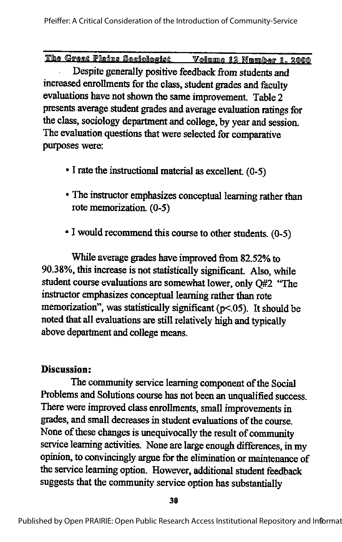Despite generally positive feedback from students and increased enrollments for the class, student grades and faculty evaluations have not shown the same improvement. Table 2 presents average student grades and average evaluation ratings for the class, sociology department and college, by year and session. The evaluation questions that were selected for comparative purposes were:

- $\bullet$  I rate the instructional material as excellent. (0-5)
- The instructor emphasizes conceptual learning rather than rote memorization. (0-5)
- I would recommend this course to other students. (0-5)

While average grades have improved from 82.52% to 90.38%, this increase is not statistically significant. Also, while student course evaluations are somewhat lower, only Q#2 'The instructor emphasizes conceptual learning rather than rote memorization", was statistically significant  $(p<.05)$ . It should be noted that all evaluations are still relatively high and typically above department and college means.

# Discussion:

The community service learning component of the Social Problems and Solutions course has not been an unqualified success. There were improved class enrollments, small improvements in grades, and small decreases in student evaluations of the course. None of these changes is unequivocally the result of community service learning activities. None are large enough differences, in my opinion, to convincingly argue for the elimination or maintenance of the service learning option. However, additional student feedback suggests that the community service option has substantially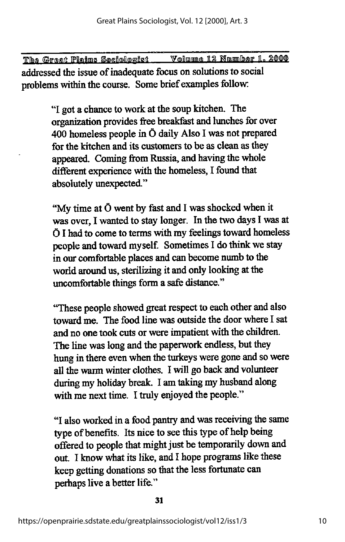The Great Plains Sociologist Volume 12 Number 1, 2000 addressed the issue of inadequate focus on solutions to social problems within the course. Some brief examples follow:

> "I got a chance to work at the soup kitchen. The organization provides free breakfast and lunches for over 400 homeless people in Ö daily Also I was not prepared for the kitchen and its customers to be as clean as they appeared. Coming from Russia, and having the whole different experience with the homeless, I found that absolutely unexpected."

"My time at Ö went by fast and I was shocked when it was over, I wanted to stay longer. In the two days I was at Ö I had to come to terms with my feelings toward homeless people and toward myself. Sometimes I do think we stay in our comfortable places and can become numb to the world around us, sterilizing it and only looking at the uncomfortable things form a safe distance."

"These people showed great respect to each other and also toward me. The food line was outside the door where I sat and no one took cuts or were impatient with the children. The line was long and the paperwork endless, but they hung in there even when the turkeys were gone and so were all the warm winter clothes. I will go back and volunteer during my holiday break. I am taking my husband along with me next time. I truly enjoyed the people."

"I also worked in a food pantry and was receiving the same type of benefits. Its nice to see this type of help being offered to people that might just be temporarily down and out. I know what its like, and I hope programs like these keep getting donations so that the less fortunate can perhaps live a better life."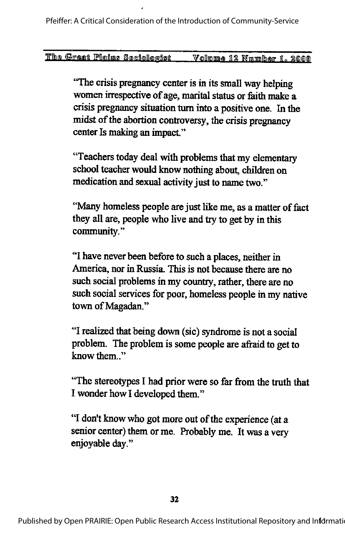"The crisis pregnancy center is in its small way helping women irrespective of age, marital status or faith make a crisis pregnancy situation turn into a positive one. In the midst of the abortion controversy, the crisis pregnancy center Is making an impact."

"Teachers today deal with problems that my elementary school teacher would know nothing about, children on medication and sexual activity just to name two."

"Many homeless people are just like me, as a matter of fact they all are, people who live and try to get by in this community."

"I have never been before to such a places, neither in America, nor in Russia. This is not because there are no such social problems in my country, rather, there are no such social services for poor, homeless people in my native town of Magadan."

"I realized that being down (sic) syndrome is not a social problem. The problem is some people are afraid to get to know them.."

"The stereotypes I had prior were so far from the truth that I wonder how I developed them."

"I don't know who got more out of the experience (at a senior center) them or me. Probably me. It was a very enjoyable day."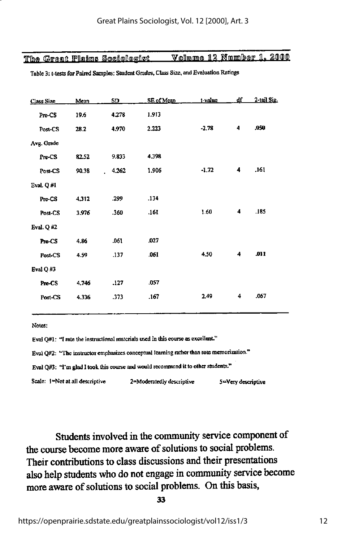|  | The Great Plains Sociologist. | Volume 12 Number 1. 2000 |  |  |
|--|-------------------------------|--------------------------|--|--|
|  |                               |                          |  |  |

| <b>Class Size</b> | Mean  | SD          | SE of Mean | $1$ -value | df | 2-tail Sig. |
|-------------------|-------|-------------|------------|------------|----|-------------|
| Pre-CS            | 19.6  | 4.278       | 1.913      |            |    |             |
| Post-CS           | 28.2  | 4.970       | 2.223      | $-2.78$    | 4  | .050        |
| Avg. Grade        |       |             |            |            |    |             |
| Pre-CS            | 82.52 | 9.833       | 4,398      |            |    |             |
| Post-CS           | 90.38 | 4.262<br>L. | 1.906      | $-1.72$    | 4  | .161        |
| Eval. $Q \# I$    |       |             |            |            |    |             |
| Pre-CS            | 4.312 | .299        | .134       |            |    |             |
| Post-CS           | 3.976 | .360        | .161       | 1.60       | 4  | .185        |
| Eval. $QH2$       |       |             |            |            |    |             |
| Pre-CS            | 4.86  | 061         | .027       |            |    |             |
| Post-CS           | 4.59  | 137         | .061       | 4,50       | 4  | .011        |
| Eval $Q$ #3       |       |             |            |            |    |             |
| Pre-CS            | 4,746 | .127        | .057       |            |    |             |
| Post-CS           | 4.336 | .373        | .167       | 2.49       | 4  | .067        |
|                   |       |             |            |            |    |             |

Table 3: t-tests for Paired Samples: Student Grades, Class Size, and Evaluation Ratings

Notes:

Eval Q#1: "I rate the instructional materials used in this course as excellent."

Eval Q#2: "The instructor emphasizes conceptual learning rather than rote memorization."

Eval  $Q\#3$ : "I'm glad I took this course and would recommend it to other students."

Scale: I=Not at all descriptive 2=Moderatedly descriptive 5=Very descriptive

Students involved in the community service component of the course become more aware of solutions to social problems. Their contributions to class discussions and their presentations also help students who do not engage in community service become more aware of solutions to social problems. On this basis,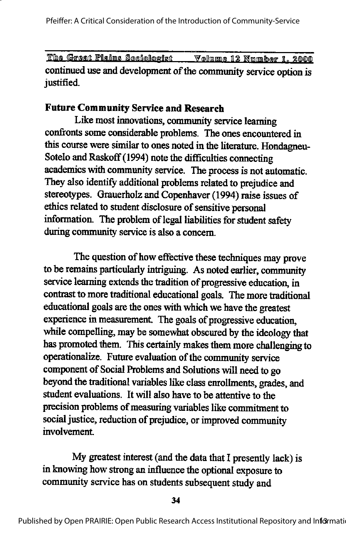The Great Plains Sociologist Volume 12 Number 1, 2000 continued use and development of the community service option is justified.

# Future Community Service and Research

Like most innovations, community service learning confronts some considerable problems. The ones encountered in this course were similar to ones noted in the literature. Hondagneu-Sotelo and Raskoff (1994) note the difficulties connecting academics with community service. The process is not automatic. They also identify additional problems related to prejudice and stereotypes. Grauerholz and Copenhaver (1994) raise issues of ethics related to student disclosure of sensitive personal information. The problem of legal liabilities for student safety during community service is also a concern.

The question of how effective these techniques may prove to be remains particularly intriguing. As noted earlier, community service learning extends the tradition of progressive education, in contrast to more traditional educational goals. The more traditional educational goals are the ones with which we have the greatest experience in measurement. The goals of progressive education, while compelling, may be somewhat obscured by the ideology that has promoted them. This certainly makes them more challenging to operationalize. Future evaluation of the community service component of Social Problems and Solutions will need to go beyond the traditional variables like class enrollments, grades, and student evaluations. It will also have to be attentive to the precision problems of measuring variables like commitment to social justice, reduction of prejudice, or improved community involvement.

My greatest interest (and the data that I presently lack) is in knowing how strong an influence the optional exposure to community service has on students subsequent study and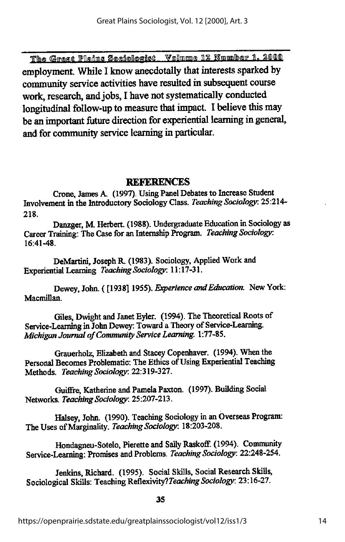The Great Plains Sociologist Volume 12 Number 1. 2000 employment. While I know anecdotally that interests sparked by community service activities have resulted in subsequent course work, research, and jobs, I have not systematically conducted longitudinal follow-up to measure that impact. I believe this may be an important future direction for experiential learning in general, and for community service learning in particular.

### **REFERENCES**

Crone, James A. (1997). Using Panel Debates to Increase Student Involvement in the Introductory Sociology Class. Teaching Sociology: 25:214-218.

Danzger, M. Herbert. (1988). Undergraduate Education in Sociology as Career Training: The Case for an Internship Program. Teaching Sociology:  $16:41-48$ .

DeMartini, Joseph R. (1983). Sociology, Applied Work and Experiential Learning Teaching Sociology: 11:17-31.

Dewey, John. ([1938] 1955). Experience and Education. New York: Macmillan.

Giles, Dwight and Janet Eyler. (1994). The Theoretical Roots of Service-Learning in John Dewey: Toward a Theory of Service-Learning. Michigan Journal of Community Service Learning. 1:77-85.

Grauerholz, Elizabeth and Stacey Copenhaver. (1994). When the Personal Becomes Problematic: The Ethics of Using Experiential Teaching Methods. Teaching Sociology: 22:319-327.

Guiffre, Katherine and Pamela Paxton. (1997). Building Social Networks. Teaching Sociology: 25:207-213.

Halsey, John. (1990). Teaching Sociology in an Overseas Program: The Uses of Marginality. Teaching Sociology: 18:203-208.

Hondagneu-Sotelo, Pierette and Sally Raskoff. (1994). Community Service-Learning: Promises and Problems. Teaching Sociology: 22:248-254.

Jenkins, Richard. (1995). Social Skills, Social Research Skills, Sociological Skills: Teaching Reflexivity? Teaching Sociology: 23:16-27.

35